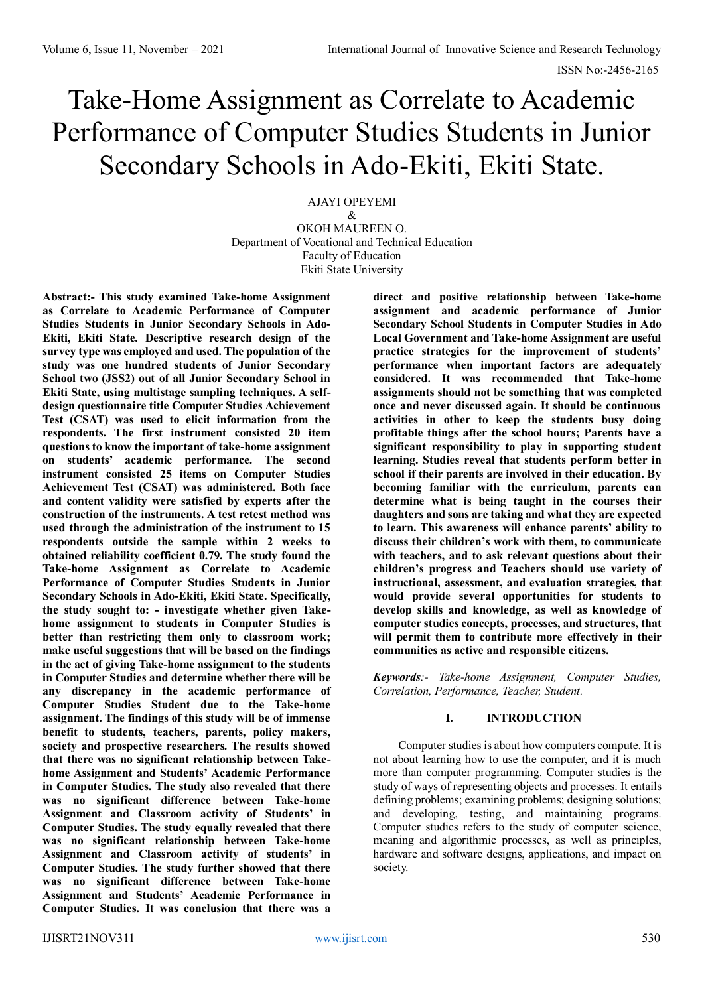# Take-Home Assignment as Correlate to Academic Performance of Computer Studies Students in Junior Secondary Schools in Ado-Ekiti, Ekiti State.

AJAYI OPEYEMI

& OKOH MAUREEN O. Department of Vocational and Technical Education Faculty of Education Ekiti State University

**Abstract:- This study examined Take-home Assignment as Correlate to Academic Performance of Computer Studies Students in Junior Secondary Schools in Ado-Ekiti, Ekiti State. Descriptive research design of the survey type was employed and used. The population of the study was one hundred students of Junior Secondary School two (JSS2) out of all Junior Secondary School in Ekiti State, using multistage sampling techniques. A selfdesign questionnaire title Computer Studies Achievement Test (CSAT) was used to elicit information from the respondents. The first instrument consisted 20 item questions to know the important of take-home assignment on students' academic performance. The second instrument consisted 25 items on Computer Studies Achievement Test (CSAT) was administered. Both face and content validity were satisfied by experts after the construction of the instruments. A test retest method was used through the administration of the instrument to 15 respondents outside the sample within 2 weeks to obtained reliability coefficient 0.79. The study found the Take-home Assignment as Correlate to Academic Performance of Computer Studies Students in Junior Secondary Schools in Ado-Ekiti, Ekiti State. Specifically, the study sought to: - investigate whether given Takehome assignment to students in Computer Studies is better than restricting them only to classroom work; make useful suggestions that will be based on the findings in the act of giving Take-home assignment to the students in Computer Studies and determine whether there will be any discrepancy in the academic performance of Computer Studies Student due to the Take-home assignment. The findings of this study will be of immense benefit to students, teachers, parents, policy makers, society and prospective researchers. The results showed that there was no significant relationship between Takehome Assignment and Students' Academic Performance in Computer Studies. The study also revealed that there was no significant difference between Take-home Assignment and Classroom activity of Students' in Computer Studies. The study equally revealed that there was no significant relationship between Take-home Assignment and Classroom activity of students' in Computer Studies. The study further showed that there was no significant difference between Take-home Assignment and Students' Academic Performance in Computer Studies. It was conclusion that there was a** 

**direct and positive relationship between Take-home assignment and academic performance of Junior Secondary School Students in Computer Studies in Ado Local Government and Take-home Assignment are useful practice strategies for the improvement of students' performance when important factors are adequately considered. It was recommended that Take-home assignments should not be something that was completed once and never discussed again. It should be continuous activities in other to keep the students busy doing profitable things after the school hours; Parents have a significant responsibility to play in supporting student learning. Studies reveal that students perform better in school if their parents are involved in their education. By becoming familiar with the curriculum, parents can determine what is being taught in the courses their daughters and sons are taking and what they are expected to learn. This awareness will enhance parents' ability to discuss their children's work with them, to communicate with teachers, and to ask relevant questions about their children's progress and Teachers should use variety of instructional, assessment, and evaluation strategies, that would provide several opportunities for students to develop skills and knowledge, as well as knowledge of computer studies concepts, processes, and structures, that will permit them to contribute more effectively in their communities as active and responsible citizens.**

*Keywords:- Take-home Assignment, Computer Studies, Correlation, Performance, Teacher, Student.*

# **I. INTRODUCTION**

Computer studies is about how computers compute. It is not about learning how to use the computer, and it is much more than computer programming. Computer studies is the study of ways of representing objects and processes. It entails defining problems; examining problems; designing solutions; and developing, testing, and maintaining programs. Computer studies refers to the study of computer science, meaning and algorithmic processes, as well as principles, hardware and software designs, applications, and impact on society.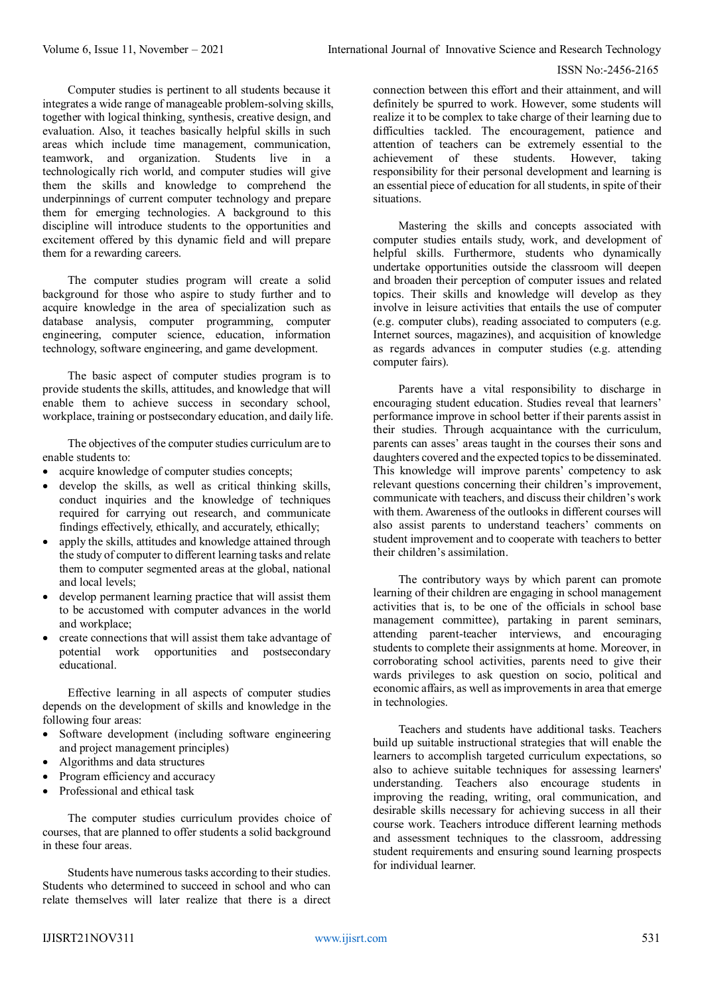Computer studies is pertinent to all students because it integrates a wide range of manageable problem-solving skills, together with logical thinking, synthesis, creative design, and evaluation. Also, it teaches basically helpful skills in such areas which include time management, communication, teamwork, and organization. Students live in a technologically rich world, and computer studies will give them the skills and knowledge to comprehend the underpinnings of current computer technology and prepare them for emerging technologies. A background to this discipline will introduce students to the opportunities and excitement offered by this dynamic field and will prepare them for a rewarding careers.

The computer studies program will create a solid background for those who aspire to study further and to acquire knowledge in the area of specialization such as database analysis, computer programming, computer engineering, computer science, education, information technology, software engineering, and game development.

The basic aspect of computer studies program is to provide students the skills, attitudes, and knowledge that will enable them to achieve success in secondary school, workplace, training or postsecondary education, and daily life.

The objectives of the computer studies curriculum are to enable students to:

- acquire knowledge of computer studies concepts;
- develop the skills, as well as critical thinking skills, conduct inquiries and the knowledge of techniques required for carrying out research, and communicate findings effectively, ethically, and accurately, ethically;
- apply the skills, attitudes and knowledge attained through the study of computer to different learning tasks and relate them to computer segmented areas at the global, national and local levels;
- develop permanent learning practice that will assist them to be accustomed with computer advances in the world and workplace;
- create connections that will assist them take advantage of potential work opportunities and postsecondary educational.

Effective learning in all aspects of computer studies depends on the development of skills and knowledge in the following four areas:

- Software development (including software engineering and project management principles)
- Algorithms and data structures
- Program efficiency and accuracy
- Professional and ethical task

The computer studies curriculum provides choice of courses, that are planned to offer students a solid background in these four areas.

Students have numerous tasks according to their studies. Students who determined to succeed in school and who can relate themselves will later realize that there is a direct connection between this effort and their attainment, and will definitely be spurred to work. However, some students will realize it to be complex to take charge of their learning due to difficulties tackled. The encouragement, patience and attention of teachers can be extremely essential to the achievement of these students. However, taking responsibility for their personal development and learning is an essential piece of education for all students, in spite of their situations.

Mastering the skills and concepts associated with computer studies entails study, work, and development of helpful skills. Furthermore, students who dynamically undertake opportunities outside the classroom will deepen and broaden their perception of computer issues and related topics. Their skills and knowledge will develop as they involve in leisure activities that entails the use of computer (e.g. computer clubs), reading associated to computers (e.g. Internet sources, magazines), and acquisition of knowledge as regards advances in computer studies (e.g. attending computer fairs).

Parents have a vital responsibility to discharge in encouraging student education. Studies reveal that learners' performance improve in school better if their parents assist in their studies. Through acquaintance with the curriculum, parents can asses' areas taught in the courses their sons and daughters covered and the expected topics to be disseminated. This knowledge will improve parents' competency to ask relevant questions concerning their children's improvement, communicate with teachers, and discuss their children's work with them. Awareness of the outlooks in different courses will also assist parents to understand teachers' comments on student improvement and to cooperate with teachers to better their children's assimilation.

The contributory ways by which parent can promote learning of their children are engaging in school management activities that is, to be one of the officials in school base management committee), partaking in parent seminars, attending parent-teacher interviews, and encouraging students to complete their assignments at home. Moreover, in corroborating school activities, parents need to give their wards privileges to ask question on socio, political and economic affairs, as well as improvements in area that emerge in technologies.

Teachers and students have additional tasks. Teachers build up suitable instructional strategies that will enable the learners to accomplish targeted curriculum expectations, so also to achieve suitable techniques for assessing learners' understanding. Teachers also encourage students in improving the reading, writing, oral communication, and desirable skills necessary for achieving success in all their course work. Teachers introduce different learning methods and assessment techniques to the classroom, addressing student requirements and ensuring sound learning prospects for individual learner.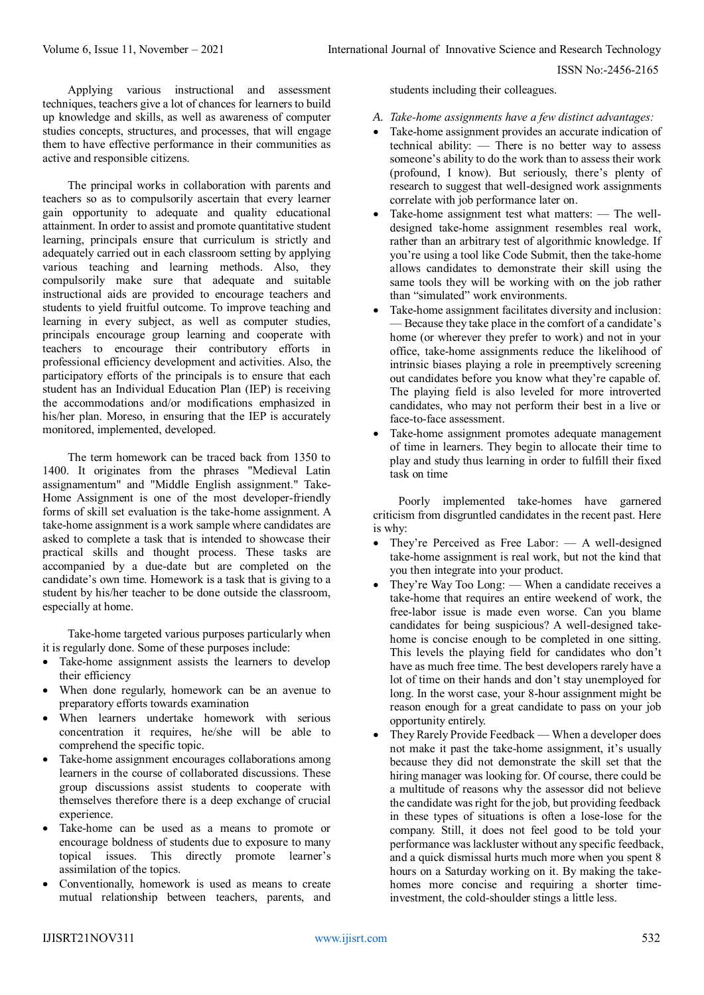Applying various instructional and assessment techniques, teachers give a lot of chances for learnersto build up knowledge and skills, as well as awareness of computer studies concepts, structures, and processes, that will engage them to have effective performance in their communities as active and responsible citizens.

The principal works in collaboration with parents and teachers so as to compulsorily ascertain that every learner gain opportunity to adequate and quality educational attainment. In order to assist and promote quantitative student learning, principals ensure that curriculum is strictly and adequately carried out in each classroom setting by applying various teaching and learning methods. Also, they compulsorily make sure that adequate and suitable instructional aids are provided to encourage teachers and students to yield fruitful outcome. To improve teaching and learning in every subject, as well as computer studies, principals encourage group learning and cooperate with teachers to encourage their contributory efforts in professional efficiency development and activities. Also, the participatory efforts of the principals is to ensure that each student has an Individual Education Plan (IEP) is receiving the accommodations and/or modifications emphasized in his/her plan. Moreso, in ensuring that the IEP is accurately monitored, implemented, developed.

The term homework can be traced back from 1350 to 1400. It originates from the phrases "Medieval Latin assignamentum" and "Middle English assignment." Take-Home Assignment is one of the most developer-friendly forms of skill set evaluation is the take-home assignment. A take-home assignment is a work sample where candidates are asked to complete a task that is intended to showcase their practical skills and thought process. These tasks are accompanied by a due-date but are completed on the candidate's own time. Homework is a task that is giving to a student by his/her teacher to be done outside the classroom, especially at home.

Take-home targeted various purposes particularly when it is regularly done. Some of these purposes include:

- Take-home assignment assists the learners to develop their efficiency
- When done regularly, homework can be an avenue to preparatory efforts towards examination
- When learners undertake homework with serious concentration it requires, he/she will be able to comprehend the specific topic.
- Take-home assignment encourages collaborations among learners in the course of collaborated discussions. These group discussions assist students to cooperate with themselves therefore there is a deep exchange of crucial experience.
- Take-home can be used as a means to promote or encourage boldness of students due to exposure to many topical issues. This directly promote learner's assimilation of the topics.
- Conventionally, homework is used as means to create mutual relationship between teachers, parents, and

students including their colleagues.

- *A. Take-home assignments have a few distinct advantages:*
- Take-home assignment provides an accurate indication of technical ability: — There is no better way to assess someone's ability to do the work than to assess their work (profound, I know). But seriously, there's plenty of research to suggest that well-designed work assignments correlate with job performance later on.
- Take-home assignment test what matters: The welldesigned take-home assignment resembles real work, rather than an arbitrary test of algorithmic knowledge. If you're using a tool like Code Submit, then the take-home allows candidates to demonstrate their skill using the same tools they will be working with on the job rather than "simulated" work environments.
- Take-home assignment facilitates diversity and inclusion: — Because they take place in the comfort of a candidate's home (or wherever they prefer to work) and not in your office, take-home assignments reduce the likelihood of intrinsic biases playing a role in preemptively screening out candidates before you know what they're capable of. The playing field is also leveled for more introverted candidates, who may not perform their best in a live or face-to-face assessment.
- Take-home assignment promotes adequate management of time in learners. They begin to allocate their time to play and study thus learning in order to fulfill their fixed task on time

Poorly implemented take-homes have garnered criticism from disgruntled candidates in the recent past. Here is why:

- They're Perceived as Free Labor: A well-designed take-home assignment is real work, but not the kind that you then integrate into your product.
- They're Way Too Long: When a candidate receives a take-home that requires an entire weekend of work, the free-labor issue is made even worse. Can you blame candidates for being suspicious? A well-designed takehome is concise enough to be completed in one sitting. This levels the playing field for candidates who don't have as much free time. The best developers rarely have a lot of time on their hands and don't stay unemployed for long. In the worst case, your 8-hour assignment might be reason enough for a great candidate to pass on your job opportunity entirely.
- They Rarely Provide Feedback When a developer does not make it past the take-home assignment, it's usually because they did not demonstrate the skill set that the hiring manager was looking for. Of course, there could be a multitude of reasons why the assessor did not believe the candidate was right for the job, but providing feedback in these types of situations is often a lose-lose for the company. Still, it does not feel good to be told your performance was lackluster without any specific feedback, and a quick dismissal hurts much more when you spent 8 hours on a Saturday working on it. By making the takehomes more concise and requiring a shorter timeinvestment, the cold-shoulder stings a little less.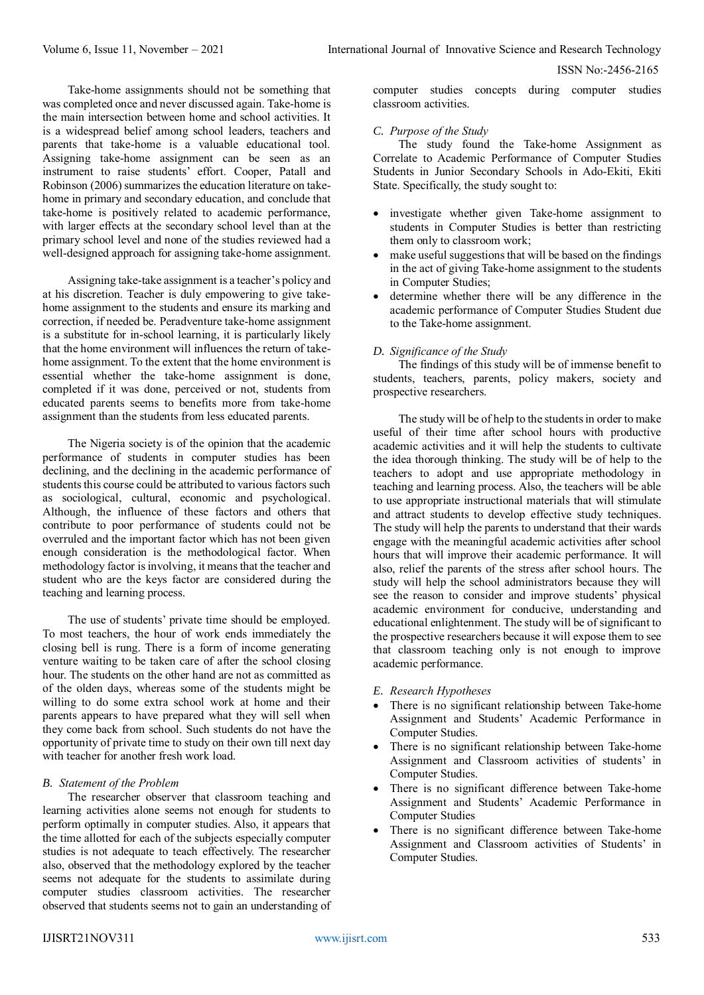Take-home assignments should not be something that was completed once and never discussed again. Take-home is the main intersection between home and school activities. It is a widespread belief among school leaders, teachers and parents that take-home is a valuable educational tool. Assigning take-home assignment can be seen as an instrument to raise students' effort. Cooper, Patall and Robinson (2006) summarizes the education literature on takehome in primary and secondary education, and conclude that take-home is positively related to academic performance, with larger effects at the secondary school level than at the primary school level and none of the studies reviewed had a well-designed approach for assigning take-home assignment.

Assigning take-take assignment is a teacher's policy and at his discretion. Teacher is duly empowering to give takehome assignment to the students and ensure its marking and correction, if needed be. Peradventure take-home assignment is a substitute for in-school learning, it is particularly likely that the home environment will influences the return of takehome assignment. To the extent that the home environment is essential whether the take-home assignment is done, completed if it was done, perceived or not, students from educated parents seems to benefits more from take-home assignment than the students from less educated parents.

The Nigeria society is of the opinion that the academic performance of students in computer studies has been declining, and the declining in the academic performance of students this course could be attributed to various factors such as sociological, cultural, economic and psychological. Although, the influence of these factors and others that contribute to poor performance of students could not be overruled and the important factor which has not been given enough consideration is the methodological factor. When methodology factor is involving, it means that the teacher and student who are the keys factor are considered during the teaching and learning process.

The use of students' private time should be employed. To most teachers, the hour of work ends immediately the closing bell is rung. There is a form of income generating venture waiting to be taken care of after the school closing hour. The students on the other hand are not as committed as of the olden days, whereas some of the students might be willing to do some extra school work at home and their parents appears to have prepared what they will sell when they come back from school. Such students do not have the opportunity of private time to study on their own till next day with teacher for another fresh work load.

## *B. Statement of the Problem*

The researcher observer that classroom teaching and learning activities alone seems not enough for students to perform optimally in computer studies. Also, it appears that the time allotted for each of the subjects especially computer studies is not adequate to teach effectively. The researcher also, observed that the methodology explored by the teacher seems not adequate for the students to assimilate during computer studies classroom activities. The researcher observed that students seems not to gain an understanding of

computer studies concepts during computer studies classroom activities.

#### *C. Purpose of the Study*

The study found the Take-home Assignment as Correlate to Academic Performance of Computer Studies Students in Junior Secondary Schools in Ado-Ekiti, Ekiti State. Specifically, the study sought to:

- investigate whether given Take-home assignment to students in Computer Studies is better than restricting them only to classroom work;
- make useful suggestions that will be based on the findings in the act of giving Take-home assignment to the students in Computer Studies;
- determine whether there will be any difference in the academic performance of Computer Studies Student due to the Take-home assignment.

#### *D. Significance of the Study*

The findings of this study will be of immense benefit to students, teachers, parents, policy makers, society and prospective researchers.

The study will be of help to the students in order to make useful of their time after school hours with productive academic activities and it will help the students to cultivate the idea thorough thinking. The study will be of help to the teachers to adopt and use appropriate methodology in teaching and learning process. Also, the teachers will be able to use appropriate instructional materials that will stimulate and attract students to develop effective study techniques. The study will help the parents to understand that their wards engage with the meaningful academic activities after school hours that will improve their academic performance. It will also, relief the parents of the stress after school hours. The study will help the school administrators because they will see the reason to consider and improve students' physical academic environment for conducive, understanding and educational enlightenment. The study will be of significant to the prospective researchers because it will expose them to see that classroom teaching only is not enough to improve academic performance.

- *E. Research Hypotheses*
- There is no significant relationship between Take-home Assignment and Students' Academic Performance in Computer Studies.
- There is no significant relationship between Take-home Assignment and Classroom activities of students' in Computer Studies.
- There is no significant difference between Take-home Assignment and Students' Academic Performance in Computer Studies
- There is no significant difference between Take-home Assignment and Classroom activities of Students' in Computer Studies.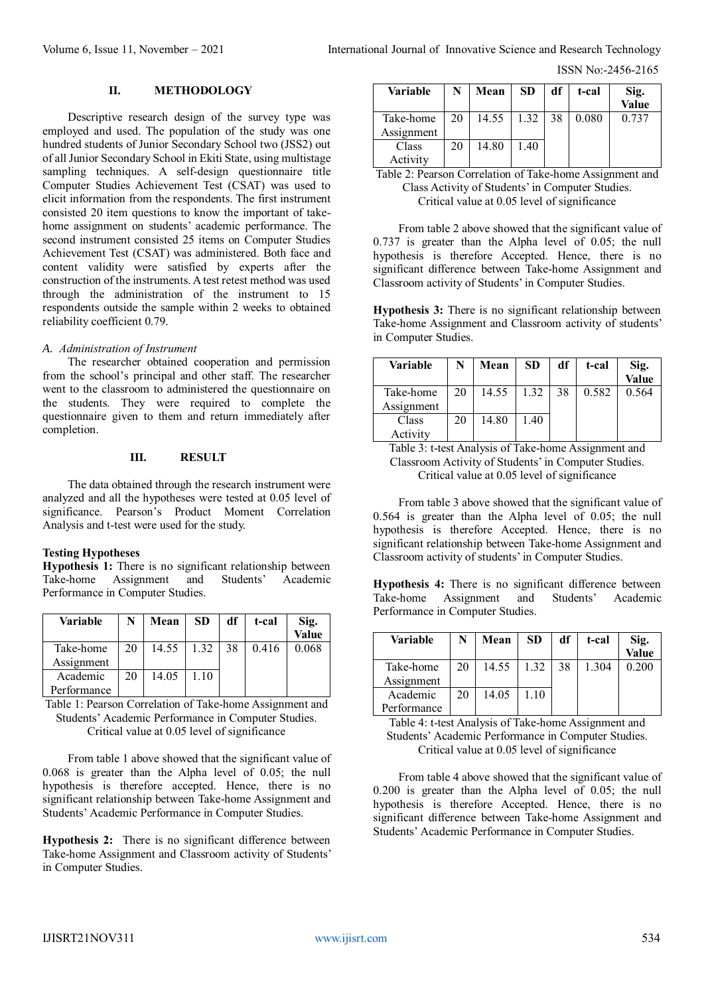ISSN No:-2456-2165

#### **II. METHODOLOGY**

Descriptive research design of the survey type was employed and used. The population of the study was one hundred students of Junior Secondary School two (JSS2) out of all Junior Secondary School in Ekiti State, using multistage sampling techniques. A self-design questionnaire title Computer Studies Achievement Test (CSAT) was used to elicit information from the respondents. The first instrument consisted 20 item questions to know the important of takehome assignment on students' academic performance. The second instrument consisted 25 items on Computer Studies Achievement Test (CSAT) was administered. Both face and content validity were satisfied by experts after the construction of the instruments. A test retest method was used through the administration of the instrument to 15 respondents outside the sample within 2 weeks to obtained reliability coefficient 0.79.

#### *A. Administration of Instrument*

The researcher obtained cooperation and permission from the school's principal and other staff. The researcher went to the classroom to administered the questionnaire on the students. They were required to complete the questionnaire given to them and return immediately after completion.

#### **III. RESULT**

The data obtained through the research instrument were analyzed and all the hypotheses were tested at 0.05 level of significance. Pearson's Product Moment Correlation Analysis and t-test were used for the study.

### **Testing Hypotheses**

**Hypothesis 1:** There is no significant relationship between Take-home Assignment and Students' Academic Performance in Computer Studies.

| <b>Variable</b>         |    | Mean  | <b>SD</b> | df | t-cal | Sig.<br>Value |
|-------------------------|----|-------|-----------|----|-------|---------------|
| Take-home<br>Assignment | 20 | 14.55 | 1.32      | 38 | 0.416 | 0.068         |
| Academic                | 20 | 14.05 | 1.10      |    |       |               |
| Performance             |    |       |           |    |       |               |

Table 1: Pearson Correlation of Take-home Assignment and Students' Academic Performance in Computer Studies. Critical value at 0.05 level of significance

From table 1 above showed that the significant value of 0.068 is greater than the Alpha level of 0.05; the null hypothesis is therefore accepted. Hence, there is no significant relationship between Take-home Assignment and Students' Academic Performance in Computer Studies.

**Hypothesis 2:** There is no significant difference between Take-home Assignment and Classroom activity of Students' in Computer Studies.

| <b>Variable</b>         |    | Mean  | <b>SD</b> | df | t-cal | Sig.<br>Value |
|-------------------------|----|-------|-----------|----|-------|---------------|
| Take-home<br>Assignment | 20 | 14.55 | 1.32      | 38 | 0.080 | 0.737         |
| Class<br>Activity       | 20 | 14.80 | 1.40      |    |       |               |

Table 2: Pearson Correlation of Take-home Assignment and Class Activity of Students' in Computer Studies. Critical value at 0.05 level of significance

From table 2 above showed that the significant value of 0.737 is greater than the Alpha level of 0.05; the null hypothesis is therefore Accepted. Hence, there is no significant difference between Take-home Assignment and Classroom activity of Students' in Computer Studies.

**Hypothesis 3:** There is no significant relationship between Take-home Assignment and Classroom activity of students' in Computer Studies.

| Variable   |    | Mean  | <b>SD</b> | df | t-cal | Sig.<br>Value |
|------------|----|-------|-----------|----|-------|---------------|
|            |    |       |           |    |       |               |
| Take-home  | 20 | 14.55 | 1.32      | 38 | 0.582 | 0.564         |
| Assignment |    |       |           |    |       |               |
| Class      | 20 | 14.80 | 1.40      |    |       |               |
| Activity   |    |       |           |    |       |               |

Table 3: t-test Analysis of Take-home Assignment and Classroom Activity of Students' in Computer Studies. Critical value at 0.05 level of significance

From table 3 above showed that the significant value of 0.564 is greater than the Alpha level of 0.05; the null hypothesis is therefore Accepted. Hence, there is no significant relationship between Take-home Assignment and Classroom activity of students' in Computer Studies.

**Hypothesis 4:** There is no significant difference between Take-home Assignment and Students' Academic Performance in Computer Studies.

| <b>Variable</b>         |    | Mean  | <b>SD</b> | df | t-cal | Sig.<br>Value |
|-------------------------|----|-------|-----------|----|-------|---------------|
| Take-home<br>Assignment | 20 | 14.55 | 1.32      | 38 | 1.304 | 0.200         |
| Academic                | 20 | 14.05 | 1.10      |    |       |               |
| Performance             |    |       |           |    |       |               |

Table 4: t-test Analysis of Take-home Assignment and Students' Academic Performance in Computer Studies. Critical value at 0.05 level of significance

From table 4 above showed that the significant value of 0.200 is greater than the Alpha level of 0.05; the null hypothesis is therefore Accepted. Hence, there is no significant difference between Take-home Assignment and Students' Academic Performance in Computer Studies.